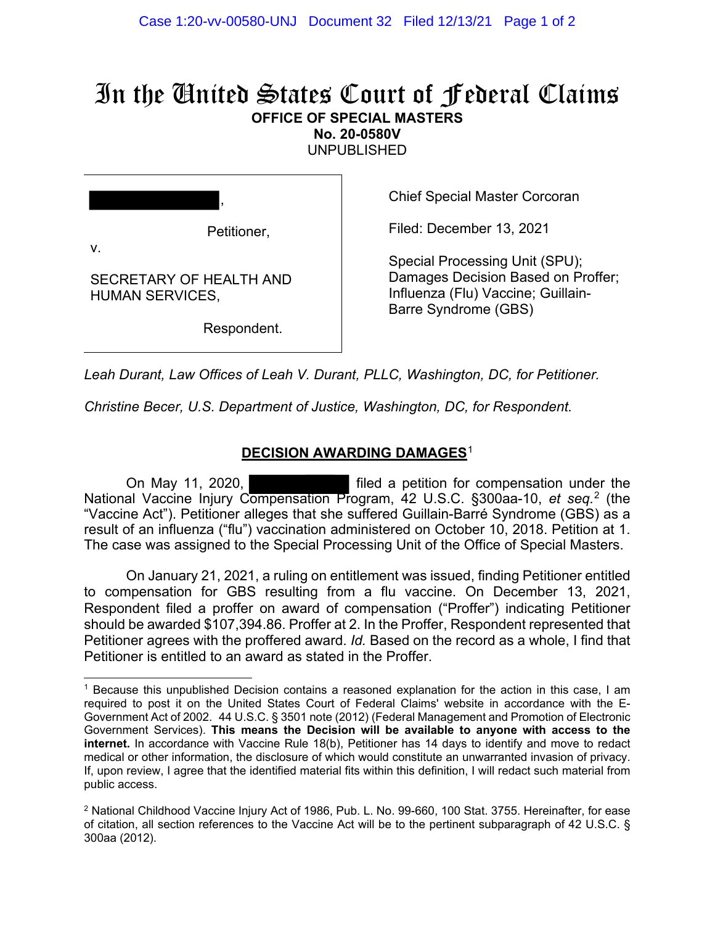# In the United States Court of Federal Claims **OFFICE OF SPECIAL MASTERS**

**No. 20-0580V** 

UNPUBLISHED

Petitioner,

,

v.

SECRETARY OF HEALTH AND HUMAN SERVICES,

Respondent.

Chief Special Master Corcoran

Filed: December 13, 2021

Special Processing Unit (SPU); Damages Decision Based on Proffer; Influenza (Flu) Vaccine; Guillain-Barre Syndrome (GBS)

*Leah Durant, Law Offices of Leah V. Durant, PLLC, Washington, DC, for Petitioner.*

*Christine Becer, U.S. Department of Justice, Washington, DC, for Respondent.*

# **DECISION AWARDING DAMAGES**<sup>1</sup>

On May 11, 2020, **Example 20** filed a petition for compensation under the National Vaccine Injury Compensation Program, 42 U.S.C. §300aa-10, *et seq.*<sup>2</sup> (the "Vaccine Act"). Petitioner alleges that she suffered Guillain-Barré Syndrome (GBS) as a result of an influenza ("flu") vaccination administered on October 10, 2018. Petition at 1. The case was assigned to the Special Processing Unit of the Office of Special Masters.

On January 21, 2021, a ruling on entitlement was issued, finding Petitioner entitled to compensation for GBS resulting from a flu vaccine. On December 13, 2021, Respondent filed a proffer on award of compensation ("Proffer") indicating Petitioner should be awarded \$107,394.86. Proffer at 2. In the Proffer, Respondent represented that Petitioner agrees with the proffered award. *Id.* Based on the record as a whole, I find that Petitioner is entitled to an award as stated in the Proffer.

<sup>1</sup> Because this unpublished Decision contains a reasoned explanation for the action in this case, I am required to post it on the United States Court of Federal Claims' website in accordance with the E-Government Act of 2002. 44 U.S.C. § 3501 note (2012) (Federal Management and Promotion of Electronic Government Services). **This means the Decision will be available to anyone with access to the internet.** In accordance with Vaccine Rule 18(b), Petitioner has 14 days to identify and move to redact medical or other information, the disclosure of which would constitute an unwarranted invasion of privacy. If, upon review, I agree that the identified material fits within this definition, I will redact such material from public access.

<sup>2</sup> National Childhood Vaccine Injury Act of 1986, Pub. L. No. 99-660, 100 Stat. 3755. Hereinafter, for ease of citation, all section references to the Vaccine Act will be to the pertinent subparagraph of 42 U.S.C. § 300aa (2012).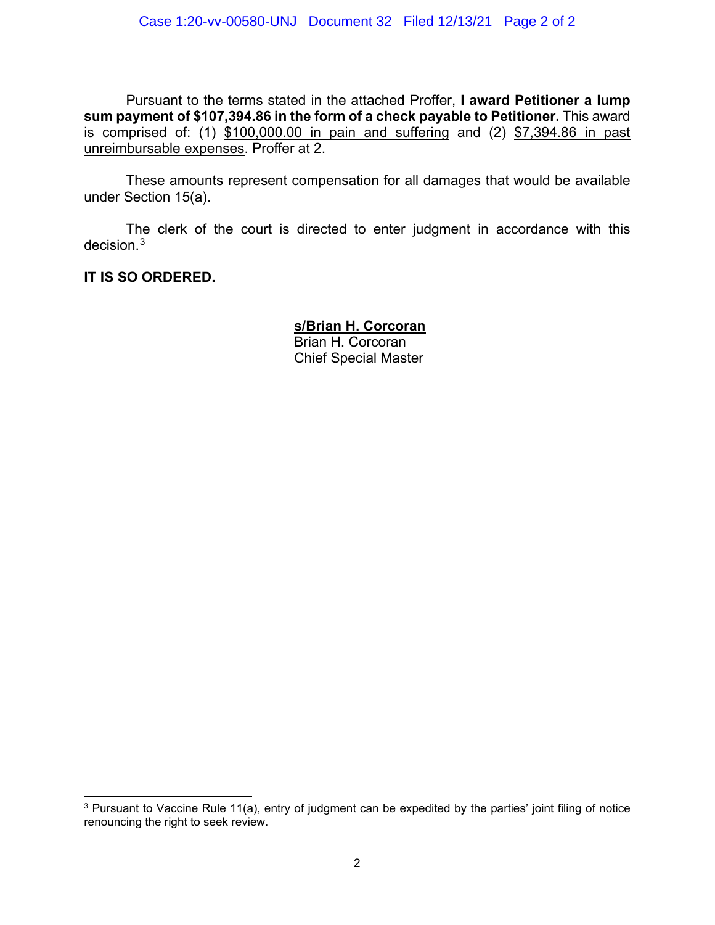Pursuant to the terms stated in the attached Proffer, **I award Petitioner a lump sum payment of \$107,394.86 in the form of a check payable to Petitioner.** This award is comprised of: (1) \$100,000.00 in pain and suffering and (2) \$7,394.86 in past unreimbursable expenses. Proffer at 2.

These amounts represent compensation for all damages that would be available under Section 15(a).

The clerk of the court is directed to enter judgment in accordance with this decision.<sup>3</sup>

**IT IS SO ORDERED.**

**s/Brian H. Corcoran** Brian H. Corcoran Chief Special Master

<sup>&</sup>lt;sup>3</sup> Pursuant to Vaccine Rule 11(a), entry of judgment can be expedited by the parties' joint filing of notice renouncing the right to seek review.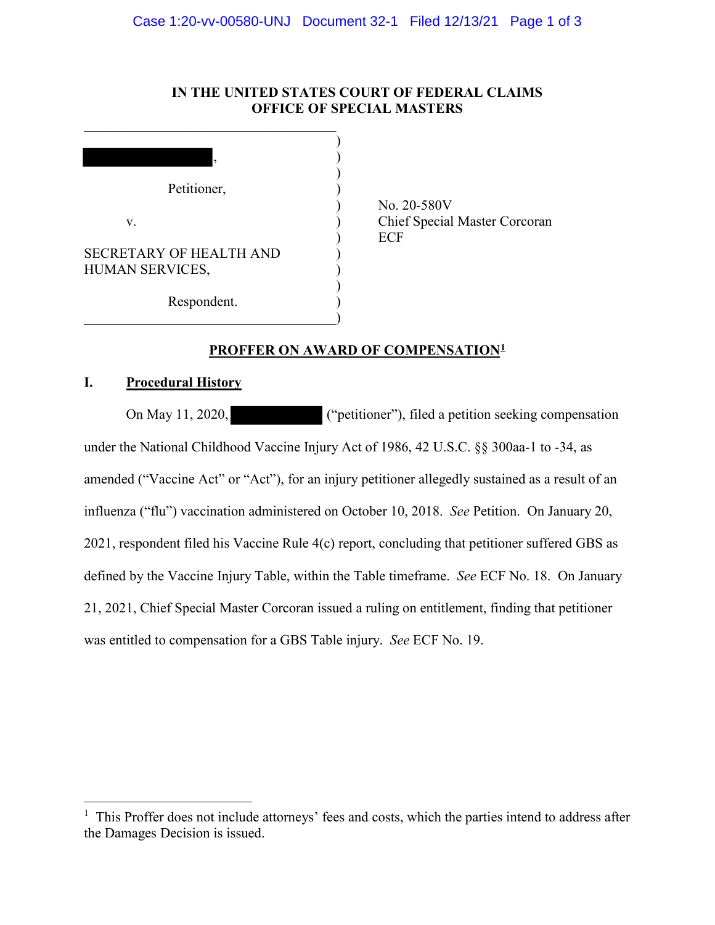## **IN THE UNITED STATES COURT OF FEDERAL CLAIMS OFFICE OF SPECIAL MASTERS**

| ,                              |            |
|--------------------------------|------------|
| Petitioner,                    |            |
|                                | No.        |
| V.                             | Chie       |
|                                | <b>ECF</b> |
| <b>SECRETARY OF HEALTH AND</b> |            |
| HUMAN SERVICES,                |            |
| Respondent.                    |            |

 $\_$ 

 ) No. 20-580V Chief Special Master Corcoran

## **PROFFER ON AWARD OF COMPENSATION1**

# **I. Procedural History**

 $\overline{a}$ 

On May 11, 2020, ("petitioner"), filed a petition seeking compensation under the National Childhood Vaccine Injury Act of 1986, 42 U.S.C. §§ 300aa-1 to -34, as amended ("Vaccine Act" or "Act"), for an injury petitioner allegedly sustained as a result of an influenza ("flu") vaccination administered on October 10, 2018. *See* Petition. On January 20, 2021, respondent filed his Vaccine Rule 4(c) report, concluding that petitioner suffered GBS as defined by the Vaccine Injury Table, within the Table timeframe. *See* ECF No. 18. On January 21, 2021, Chief Special Master Corcoran issued a ruling on entitlement, finding that petitioner was entitled to compensation for a GBS Table injury. *See* ECF No. 19.

<sup>&</sup>lt;sup>1</sup> This Proffer does not include attorneys' fees and costs, which the parties intend to address after the Damages Decision is issued.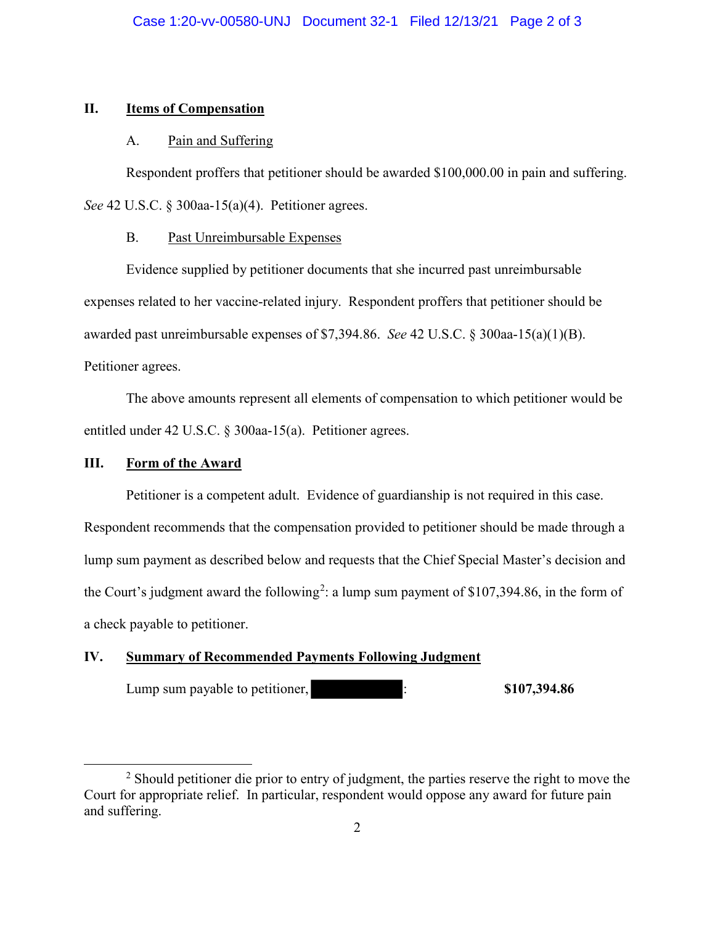#### **II. Items of Compensation**

#### A. Pain and Suffering

Respondent proffers that petitioner should be awarded \$100,000.00 in pain and suffering. *See* 42 U.S.C. § 300aa-15(a)(4). Petitioner agrees.

## B. Past Unreimbursable Expenses

Evidence supplied by petitioner documents that she incurred past unreimbursable expenses related to her vaccine-related injury. Respondent proffers that petitioner should be awarded past unreimbursable expenses of \$7,394.86. *See* 42 U.S.C. § 300aa-15(a)(1)(B). Petitioner agrees.

The above amounts represent all elements of compensation to which petitioner would be entitled under 42 U.S.C. § 300aa-15(a). Petitioner agrees.

## **III. Form of the Award**

Petitioner is a competent adult. Evidence of guardianship is not required in this case. Respondent recommends that the compensation provided to petitioner should be made through a lump sum payment as described below and requests that the Chief Special Master's decision and the Court's judgment award the following<sup>2</sup>: a lump sum payment of \$107,394.86, in the form of a check payable to petitioner.

## **IV. Summary of Recommended Payments Following Judgment**

Lump sum payable to petitioner, : **\$107,394.86** 

 <sup>2</sup>  $<sup>2</sup>$  Should petitioner die prior to entry of judgment, the parties reserve the right to move the</sup> Court for appropriate relief. In particular, respondent would oppose any award for future pain and suffering.